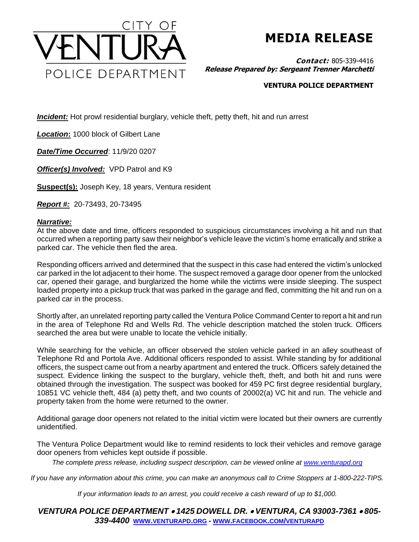

## **MEDIA RELEASE**

**Contact:** 805-339-4416 **Release Prepared by: Sergeant Trenner Marchetti**

## **VENTURA POLICE DEPARTMENT**

*Incident:* Hot prowl residential burglary, vehicle theft, petty theft, hit and run arrest

*Location***:** 1000 block of Gilbert Lane

*Date/Time Occurred*: 11/9/20 0207

*Officer(s) Involved:* VPD Patrol and K9

**Suspect(s):** Joseph Key, 18 years, Ventura resident

*Report #:* 20-73493, 20-73495

## *Narrative:*

At the above date and time, officers responded to suspicious circumstances involving a hit and run that occurred when a reporting party saw their neighbor's vehicle leave the victim's home erratically and strike a parked car. The vehicle then fled the area.

Responding officers arrived and determined that the suspect in this case had entered the victim's unlocked car parked in the lot adjacent to their home. The suspect removed a garage door opener from the unlocked car, opened their garage, and burglarized the home while the victims were inside sleeping. The suspect loaded property into a pickup truck that was parked in the garage and fled, committing the hit and run on a parked car in the process.

Shortly after, an unrelated reporting party called the Ventura Police Command Center to report a hit and run in the area of Telephone Rd and Wells Rd. The vehicle description matched the stolen truck. Officers searched the area but were unable to locate the vehicle initially.

While searching for the vehicle, an officer observed the stolen vehicle parked in an alley southeast of Telephone Rd and Portola Ave. Additional officers responded to assist. While standing by for additional officers, the suspect came out from a nearby apartment and entered the truck. Officers safely detained the suspect. Evidence linking the suspect to the burglary, vehicle theft, theft, and both hit and runs were obtained through the investigation. The suspect was booked for 459 PC first degree residential burglary, 10851 VC vehicle theft, 484 (a) petty theft, and two counts of 20002(a) VC hit and run. The vehicle and property taken from the home were returned to the owner.

Additional garage door openers not related to the initial victim were located but their owners are currently unidentified.

The Ventura Police Department would like to remind residents to lock their vehicles and remove garage door openers from vehicles kept outside if possible.

*The complete press release, including suspect description, can be viewed online at [www.venturapd.org](http://www.venturapd.org/)*

*If you have any information about this crime, you can make an anonymous call to Crime Stoppers at 1-800-222-TIPS.*

*If your information leads to an arrest, you could receive a cash reward of up to \$1,000.*

*VENTURA POLICE DEPARTMENT 1425 DOWELL DR. VENTURA, CA 93003-7361 805- 339-4400* **WWW.[VENTURAPD](http://www.venturapd.org/).ORG** *-* **WWW.FACEBOOK.COM/[VENTURAPD](http://www.facebook.com/venturapd)**